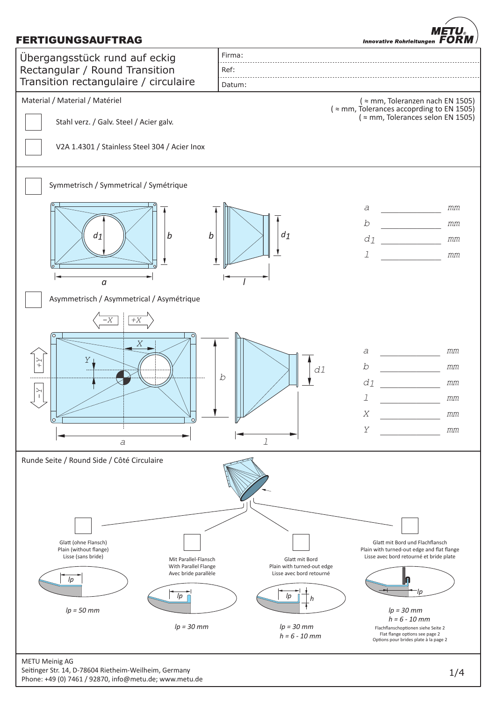## FERTIGUNGSAUFTRAG

METU **Innovative Rohrleitungen**  $\mathbf{F}$ ORM



Seitinger Str. 14, D-78604 Rietheim-Weilheim, Germany Phone: +49 (0) 7461 / 92870, info@metu.de; www.metu.de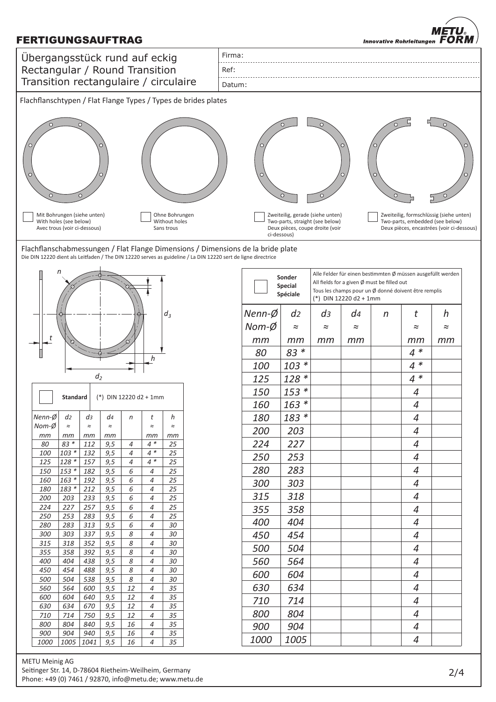## FERTIGUNGSAUFTRAG

METU **Innovative Rohrleitungen**  $\mathbf{F}$ 



METU Meinig AG Seitinger Str. 14, D-78604 Rietheim-Weilheim, Germany Phone: +49 (0) 7461 / 92870, info@metu.de; www.metu.de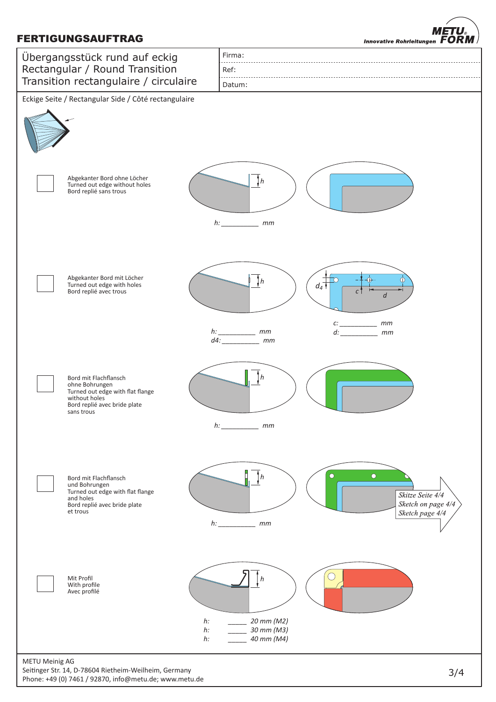## FERTIGUNGSAUFTRAG

**METU Innovative Rohrleitungen FORM** 



Seitinger Str. 14, D-78604 Rietheim-Weilheim, Germany Phone: +49 (0) 7461 / 92870, info@metu.de; www.metu.de